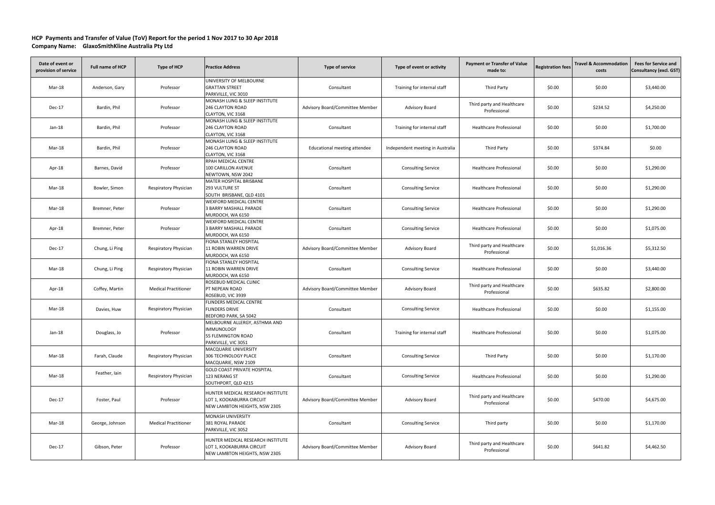## **HCP Payments and Transfer of Value (ToV) Report for the period 1 Nov 2017 to 30 Apr 2018 Company Name: GlaxoSmithKline Australia Pty Ltd**

| Date of event or<br>provision of service | Full name of HCP | Type of HCP                 | <b>Practice Address</b>                                                                         | <b>Type of service</b>          | Type of event or activity        | <b>Payment or Transfer of Value</b><br>made to: | <b>Registration fees</b> | <b>Travel &amp; Accommodation</b><br>costs | <b>Fees for Service and</b><br>Consultancy (excl. GST) |
|------------------------------------------|------------------|-----------------------------|-------------------------------------------------------------------------------------------------|---------------------------------|----------------------------------|-------------------------------------------------|--------------------------|--------------------------------------------|--------------------------------------------------------|
| Mar-18                                   | Anderson, Gary   | Professor                   | UNIVERSITY OF MELBOURNE<br><b>GRATTAN STREET</b><br>PARKVILLE, VIC 3010                         | Consultant                      | Training for internal staff      | Third Party                                     | \$0.00                   | \$0.00                                     | \$3,440.00                                             |
| $Dec-17$                                 | Bardin, Phil     | Professor                   | MONASH LUNG & SLEEP INSTITUTE<br>246 CLAYTON ROAD<br>CLAYTON, VIC 3168                          | Advisory Board/Committee Member | <b>Advisory Board</b>            | Third party and Healthcare<br>Professional      | \$0.00                   | \$234.52                                   | \$4,250.00                                             |
| Jan-18                                   | Bardin, Phil     | Professor                   | MONASH LUNG & SLEEP INSTITUTE<br>246 CLAYTON ROAD<br>CLAYTON, VIC 3168                          | Consultant                      | Training for internal staff      | Healthcare Professional                         | \$0.00                   | \$0.00                                     | \$1,700.00                                             |
| Mar-18                                   | Bardin, Phil     | Professor                   | MONASH LUNG & SLEEP INSTITUTE<br>246 CLAYTON ROAD<br>CLAYTON, VIC 3168                          | Educational meeting attendee    | Independent meeting in Australia | Third Party                                     | \$0.00                   | \$374.84                                   | \$0.00                                                 |
| Apr-18                                   | Barnes, David    | Professor                   | RPAH MEDICAL CENTRE<br>100 CARILLON AVENUE<br>NEWTOWN, NSW 2042                                 | Consultant                      | <b>Consulting Service</b>        | Healthcare Professional                         | \$0.00                   | \$0.00                                     | \$1,290.00                                             |
| Mar-18                                   | Bowler, Simon    | Respiratory Physician       | MATER HOSPITAL BRISBANE<br>293 VULTURE ST<br>SOUTH BRISBANE, QLD 4101                           | Consultant                      | <b>Consulting Service</b>        | Healthcare Professional                         | \$0.00                   | \$0.00                                     | \$1,290.00                                             |
| Mar-18                                   | Bremner, Peter   | Professor                   | WEXFORD MEDICAL CENTRE<br>3 BARRY MASHALL PARADE<br>MURDOCH, WA 6150                            | Consultant                      | <b>Consulting Service</b>        | <b>Healthcare Professional</b>                  | \$0.00                   | \$0.00                                     | \$1,290.00                                             |
| Apr-18                                   | Bremner, Peter   | Professor                   | <b>WEXFORD MEDICAL CENTRE</b><br>3 BARRY MASHALL PARADE<br>MURDOCH, WA 6150                     | Consultant                      | <b>Consulting Service</b>        | <b>Healthcare Professional</b>                  | \$0.00                   | \$0.00                                     | \$1,075.00                                             |
| Dec-17                                   | Chung, Li Ping   | Respiratory Physician       | FIONA STANLEY HOSPITAL<br>11 ROBIN WARREN DRIVE<br>MURDOCH, WA 6150                             | Advisory Board/Committee Member | <b>Advisory Board</b>            | Third party and Healthcare<br>Professional      | \$0.00                   | \$1,016.36                                 | \$5,312.50                                             |
| Mar-18                                   | Chung, Li Ping   | Respiratory Physician       | FIONA STANLEY HOSPITAL<br>11 ROBIN WARREN DRIVE<br>MURDOCH, WA 6150                             | Consultant                      | <b>Consulting Service</b>        | Healthcare Professional                         | \$0.00                   | \$0.00                                     | \$3,440.00                                             |
| Apr-18                                   | Coffey, Martin   | <b>Medical Practitioner</b> | ROSEBUD MEDICAL CLINIC<br>PT NEPEAN ROAD<br>ROSEBUD, VIC 3939                                   | Advisory Board/Committee Member | Advisory Board                   | Third party and Healthcare<br>Professional      | \$0.00                   | \$635.82                                   | \$2,800.00                                             |
| Mar-18                                   | Davies, Huw      | Respiratory Physician       | <b>FLINDERS MEDICAL CENTRE</b><br><b>FLINDERS DRIVE</b><br>BEDFORD PARK, SA 5042                | Consultant                      | <b>Consulting Service</b>        | <b>Healthcare Professional</b>                  | \$0.00                   | \$0.00                                     | \$1,155.00                                             |
| $Jan-18$                                 | Douglass, Jo     | Professor                   | MELBOURNE ALLERGY, ASTHMA AND<br><b>IMMUNOLOGY</b><br>55 FLEMINGTON ROAD<br>PARKVILLE, VIC 3051 | Consultant                      | Training for internal staff      | <b>Healthcare Professional</b>                  | \$0.00                   | \$0.00                                     | \$1,075.00                                             |
| Mar-18                                   | Farah, Claude    | Respiratory Physician       | <b>MACQUARIE UNIVERSITY</b><br>306 TECHNOLOGY PLACE<br>MACQUARIE, NSW 2109                      | Consultant                      | <b>Consulting Service</b>        | Third Party                                     | \$0.00                   | \$0.00                                     | \$1,170.00                                             |
| Mar-18                                   | Feather, Iain    | Respiratory Physician       | <b>GOLD COAST PRIVATE HOSPITAL</b><br>123 NERANG ST<br>SOUTHPORT, QLD 4215                      | Consultant                      | <b>Consulting Service</b>        | Healthcare Professional                         | \$0.00                   | \$0.00                                     | \$1,290.00                                             |
| Dec-17                                   | Foster, Paul     | Professor                   | HUNTER MEDICAL RESEARCH INSTITUTE<br>LOT 1, KOOKABURRA CIRCUIT<br>NEW LAMBTON HEIGHTS, NSW 2305 | Advisory Board/Committee Member | Advisory Board                   | Third party and Healthcare<br>Professional      | \$0.00                   | \$470.00                                   | \$4,675.00                                             |
| Mar-18                                   | George, Johnson  | <b>Medical Practitioner</b> | MONASH UNIVERSITY<br>381 ROYAL PARADE<br>PARKVILLE, VIC 3052                                    | Consultant                      | <b>Consulting Service</b>        | Third party                                     | \$0.00                   | \$0.00                                     | \$1,170.00                                             |
| Dec-17                                   | Gibson, Peter    | Professor                   | HUNTER MEDICAL RESEARCH INSTITUTE<br>LOT 1, KOOKABURRA CIRCUIT<br>NEW LAMBTON HEIGHTS, NSW 2305 | Advisory Board/Committee Member | Advisory Board                   | Third party and Healthcare<br>Professional      | \$0.00                   | \$641.82                                   | \$4,462.50                                             |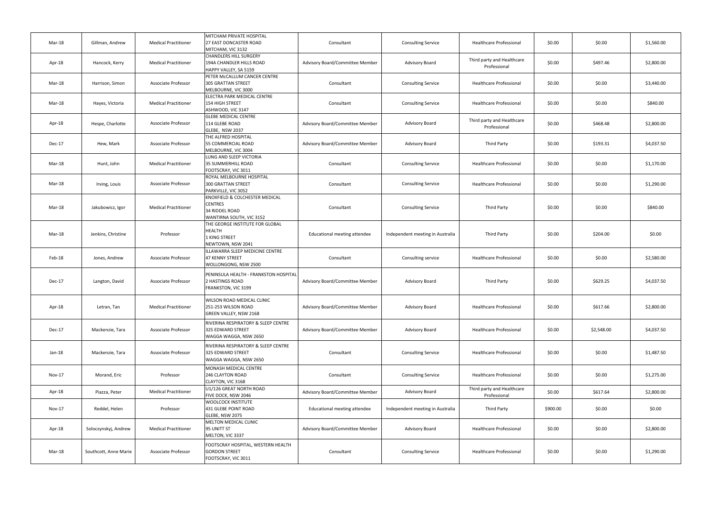| Mar-18   | Gillman, Andrew       | <b>Medical Practitioner</b> | MITCHAM PRIVATE HOSPITAL<br>27 EAST DONCASTER ROAD<br>MITCHAM, VIC 3132                        | Consultant                      | <b>Consulting Service</b>        | Healthcare Professional                    | \$0.00   | \$0.00     | \$1,560.00 |
|----------|-----------------------|-----------------------------|------------------------------------------------------------------------------------------------|---------------------------------|----------------------------------|--------------------------------------------|----------|------------|------------|
| Apr-18   | Hancock, Kerry        | <b>Medical Practitioner</b> | <b>CHANDLERS HILL SURGERY</b><br>194A CHANDLER HILLS ROAD<br>HAPPY VALLEY, SA 5159             | Advisory Board/Committee Member | Advisory Board                   | Third party and Healthcare<br>Professional | \$0.00   | \$497.46   | \$2,800.00 |
| Mar-18   | Harrison, Simon       | Associate Professor         | PETER MCCALLUM CANCER CENTRE<br><b>305 GRATTAN STREET</b><br>MELBOURNE, VIC 3000               | Consultant                      | <b>Consulting Service</b>        | <b>Healthcare Professional</b>             | \$0.00   | \$0.00     | \$3,440.00 |
| Mar-18   | Hayes, Victoria       | <b>Medical Practitioner</b> | ELECTRA PARK MEDICAL CENTRE<br><b>154 HIGH STREET</b><br>ASHWOOD, VIC 3147                     | Consultant                      | <b>Consulting Service</b>        | Healthcare Professional                    | \$0.00   | \$0.00     | \$840.00   |
| Apr-18   | Hespe, Charlotte      | Associate Professor         | <b>GLEBE MEDICAL CENTRE</b><br>114 GLEBE ROAD<br>GLEBE, NSW 2037                               | Advisory Board/Committee Member | <b>Advisory Board</b>            | Third party and Healthcare<br>Professional | \$0.00   | \$468.48   | \$2,800.00 |
| Dec-17   | Hew, Mark             | Associate Professor         | THE ALFRED HOSPITAL<br>55 COMMERCIAL ROAD<br>MELBOURNE, VIC 3004                               | Advisory Board/Committee Member | <b>Advisory Board</b>            | Third Party                                | \$0.00   | \$193.31   | \$4,037.50 |
| Mar-18   | Hunt, John            | <b>Medical Practitioner</b> | LUNG AND SLEEP VICTORIA<br>35 SUMMERHILL ROAD<br>FOOTSCRAY, VIC 3011                           | Consultant                      | <b>Consulting Service</b>        | <b>Healthcare Professional</b>             | \$0.00   | \$0.00     | \$1,170.00 |
| Mar-18   | Irving, Louis         | Associate Professor         | ROYAL MELBOURNE HOSPITAL<br><b>300 GRATTAN STREET</b><br>PARKVILLE, VIC 3052                   | Consultant                      | <b>Consulting Service</b>        | Healthcare Professional                    | \$0.00   | \$0.00     | \$1,290.00 |
| Mar-18   | Jakubowicz, Igor      | <b>Medical Practitioner</b> | KNOXFIELD & COLCHESTER MEDICAL<br><b>CENTRES</b><br>34 RIDDEL ROAD<br>WANTIRNA SOUTH, VIC 3152 | Consultant                      | <b>Consulting Service</b>        | Third Party                                | \$0.00   | \$0.00     | \$840.00   |
| Mar-18   | Jenkins, Christine    | Professor                   | THE GEORGE INSTITUTE FOR GLOBAL<br>HEALTH<br>1 KING STREET<br>NEWTOWN, NSW 2041                | Educational meeting attendee    | Independent meeting in Australia | Third Party                                | \$0.00   | \$204.00   | \$0.00     |
| Feb-18   | Jones, Andrew         | Associate Professor         | ILLAWARRA SLEEP MEDICINE CENTRE<br><b>47 KENNY STREET</b><br>WOLLONGONG, NSW 2500              | Consultant                      | Consulting service               | Healthcare Professional                    | \$0.00   | \$0.00     | \$2,580.00 |
| Dec-17   | Langton, David        | Associate Professor         | PENINSULA HEALTH - FRANKSTON HOSPITAL<br>2 HASTINGS ROAD<br>FRANKSTON, VIC 3199                | Advisory Board/Committee Member | Advisory Board                   | Third Party                                | \$0.00   | \$629.25   | \$4,037.50 |
| Apr-18   | Letran, Tan           | <b>Medical Practitioner</b> | WILSON ROAD MEDICAL CLINIC<br>251-253 WILSON ROAD<br>GREEN VALLEY, NSW 2168                    | Advisory Board/Committee Member | Advisory Board                   | <b>Healthcare Professional</b>             | \$0.00   | \$617.66   | \$2,800.00 |
| Dec-17   | Mackenzie, Tara       | Associate Professor         | RIVERINA RESPIRATORY & SLEEP CENTRE<br>325 EDWARD STREET<br>WAGGA WAGGA, NSW 2650              | Advisory Board/Committee Member | Advisory Board                   | Healthcare Professional                    | \$0.00   | \$2,548.00 | \$4,037.50 |
| $Jan-18$ | Mackenzie, Tara       | Associate Professor         | RIVERINA RESPIRATORY & SLEEP CENTRE<br>325 EDWARD STREET<br>WAGGA WAGGA, NSW 2650              | Consultant                      | <b>Consulting Service</b>        | <b>Healthcare Professional</b>             | \$0.00   | \$0.00     | \$1,487.50 |
| Nov-17   | Morand, Eric          | Professor                   | MONASH MEDICAL CENTRE<br>246 CLAYTON ROAD<br>CLAYTON, VIC 3168                                 | Consultant                      | <b>Consulting Service</b>        | <b>Healthcare Professional</b>             | \$0.00   | \$0.00     | \$1,275.00 |
| Apr-18   | Piazza, Peter         | <b>Medical Practitioner</b> | U1/126 GREAT NORTH ROAD<br>FIVE DOCK, NSW 2046                                                 | Advisory Board/Committee Member | Advisory Board                   | Third party and Healthcare<br>Professional | \$0.00   | \$617.64   | \$2,800.00 |
| Nov-17   | Reddel, Helen         | Professor                   | <b>WOOLCOCK INSTITUTE</b><br>431 GLEBE POINT ROAD<br>GLEBE, NSW 2075                           | Educational meeting attendee    | Independent meeting in Australia | Third Party                                | \$900.00 | \$0.00     | \$0.00     |
| Apr-18   | Soloczynskyj, Andrew  | <b>Medical Practitioner</b> | MELTON MEDICAL CLINIC<br>95 UNITT ST<br>MELTON, VIC 3337                                       | Advisory Board/Committee Member | Advisory Board                   | Healthcare Professional                    | \$0.00   | \$0.00     | \$2,800.00 |
| Mar-18   | Southcott, Anne Marie | Associate Professor         | FOOTSCRAY HOSPITAL, WESTERN HEALTH<br><b>GORDON STREET</b><br>FOOTSCRAY, VIC 3011              | Consultant                      | <b>Consulting Service</b>        | Healthcare Professional                    | \$0.00   | \$0.00     | \$1,290.00 |